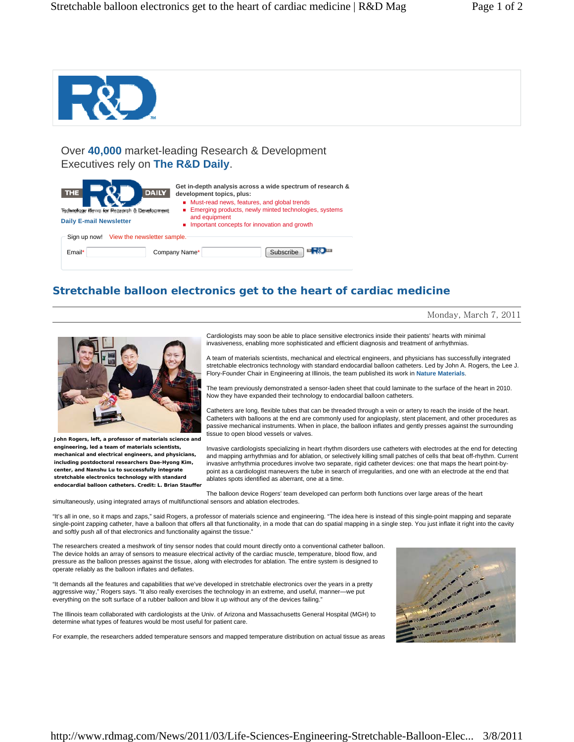

## **Stretchable balloon electronics get to the heart of cardiac medicine**

Monday, March 7, 2011



**John Rogers, left, a professor of materials science and engineering, led a team of materials scientists, mechanical and electrical engineers, and physicians, including postdoctoral researchers Dae-Hyong Kim, center, and Nanshu Lu to successfully integrate stretchable electronics technology with standard endocardial balloon catheters. Credit: L. Brian Stauffer** Cardiologists may soon be able to place sensitive electronics inside their patients' hearts with minimal invasiveness, enabling more sophisticated and efficient diagnosis and treatment of arrhythmias.

A team of materials scientists, mechanical and electrical engineers, and physicians has successfully integrated stretchable electronics technology with standard endocardial balloon catheters. Led by John A. Rogers, the Lee J. Flory-Founder Chair in Engineering at Illinois, the team published its work in **Nature Materials**.

The team previously demonstrated a sensor-laden sheet that could laminate to the surface of the heart in 2010. Now they have expanded their technology to endocardial balloon catheters.

Catheters are long, flexible tubes that can be threaded through a vein or artery to reach the inside of the heart. Catheters with balloons at the end are commonly used for angioplasty, stent placement, and other procedures as passive mechanical instruments. When in place, the balloon inflates and gently presses against the surrounding tissue to open blood vessels or valves.

Invasive cardiologists specializing in heart rhythm disorders use catheters with electrodes at the end for detecting and mapping arrhythmias and for ablation, or selectively killing small patches of cells that beat off-rhythm. Current invasive arrhythmia procedures involve two separate, rigid catheter devices: one that maps the heart point-bypoint as a cardiologist maneuvers the tube in search of irregularities, and one with an electrode at the end that ablates spots identified as aberrant, one at a time.

The balloon device Rogers' team developed can perform both functions over large areas of the heart simultaneously, using integrated arrays of multifunctional sensors and ablation electrodes.

"It's all in one, so it maps and zaps," said Rogers, a professor of materials science and engineering. "The idea here is instead of this single-point mapping and separate single-point zapping catheter, have a balloon that offers all that functionality, in a mode that can do spatial mapping in a single step. You just inflate it right into the cavity and softly push all of that electronics and functionality against the tissue."

The researchers created a meshwork of tiny sensor nodes that could mount directly onto a conventional catheter balloon. The device holds an array of sensors to measure electrical activity of the cardiac muscle, temperature, blood flow, and pressure as the balloon presses against the tissue, along with electrodes for ablation. The entire system is designed to operate reliably as the balloon inflates and deflates.

"It demands all the features and capabilities that we've developed in stretchable electronics over the years in a pretty aggressive way," Rogers says. "It also really exercises the technology in an extreme, and useful, manner—we put everything on the soft surface of a rubber balloon and blow it up without any of the devices failing."

The Illinois team collaborated with cardiologists at the Univ. of Arizona and Massachusetts General Hospital (MGH) to determine what types of features would be most useful for patient care.

For example, the researchers added temperature sensors and mapped temperature distribution on actual tissue as areas